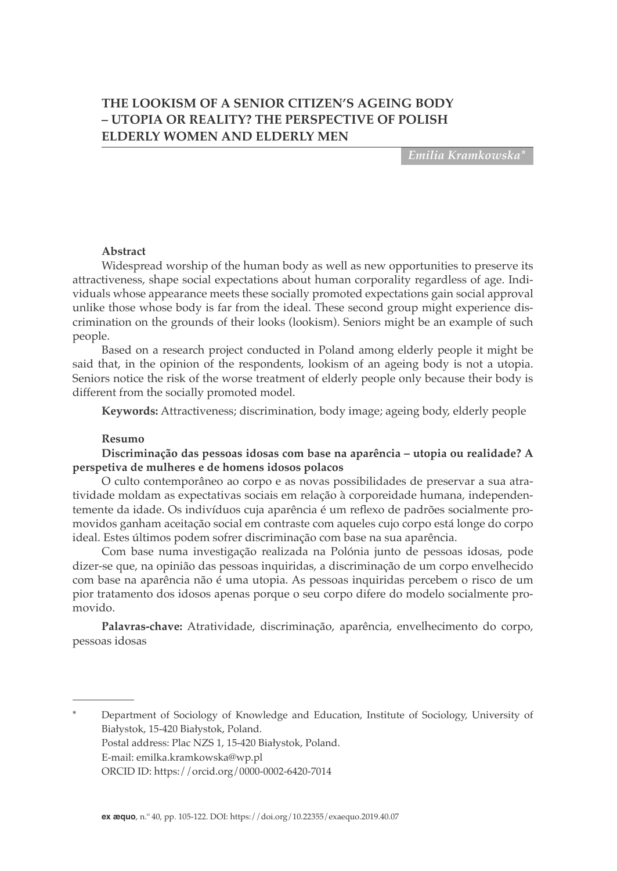# **THE LOOKISM OF A SENIOR CITIZEN'S AGEING BODY – UTOPIA OR REALITY? THE PERSPECTIVE OF POLISH ELDERLY WOMEN AND ELDERLY MEN**

*Emilia Kramkowska\**

#### **Abstract**

Widespread worship of the human body as well as new opportunities to preserve its attractiveness, shape social expectations about human corporality regardless of age. Individuals whose appearance meets these socially promoted expectations gain social approval unlike those whose body is far from the ideal. These second group might experience discrimination on the grounds of their looks (lookism). Seniors might be an example of such people.

Based on a research project conducted in Poland among elderly people it might be said that, in the opinion of the respondents, lookism of an ageing body is not a utopia. Seniors notice the risk of the worse treatment of elderly people only because their body is different from the socially promoted model.

**Keywords:** Attractiveness; discrimination, body image; ageing body, elderly people

#### **Resumo**

### **Discriminação das pessoas idosas com base na aparência – utopia ou realidade? A perspetiva de mulheres e de homens idosos polacos**

O culto contemporâneo ao corpo e as novas possibilidades de preservar a sua atratividade moldam as expectativas sociais em relação à corporeidade humana, independentemente da idade. Os indivíduos cuja aparência é um reflexo de padrões socialmente promovidos ganham aceitação social em contraste com aqueles cujo corpo está longe do corpo ideal. Estes últimos podem sofrer discriminação com base na sua aparência.

Com base numa investigação realizada na Polónia junto de pessoas idosas, pode dizer-se que, na opinião das pessoas inquiridas, a discriminação de um corpo envelhecido com base na aparência não é uma utopia. As pessoas inquiridas percebem o risco de um pior tratamento dos idosos apenas porque o seu corpo difere do modelo socialmente promovido.

**Palavras-chave:** Atratividade, discriminação, aparência, envelhecimento do corpo, pessoas idosas

Department of Sociology of Knowledge and Education, Institute of Sociology, University of Białystok, 15-420 Białystok, Poland. Postal address: Plac NZS 1, 15-420 Białystok, Poland. E-mail: emilka.kramkowska@wp.pl ORCID ID: https://orcid.org/0000-0002-6420-7014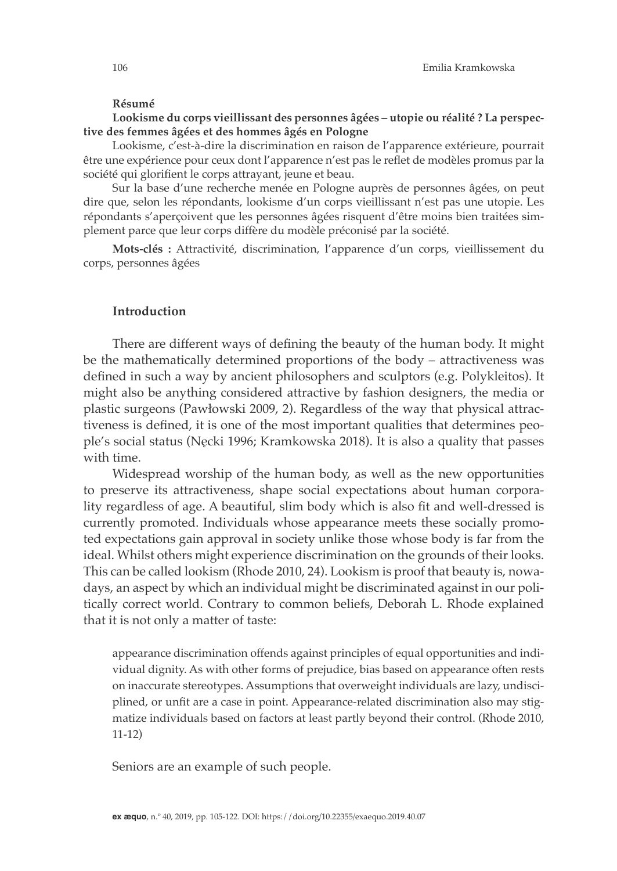#### **Résumé**

#### **Lookisme du corps vieillissant des personnes âgées – utopie ou réalité ? La perspective des femmes âgées et des hommes âgés en Pologne**

Lookisme, c'est-à-dire la discrimination en raison de l'apparence extérieure, pourrait être une expérience pour ceux dont l'apparence n'est pas le reflet de modèles promus par la société qui glorifient le corps attrayant, jeune et beau.

Sur la base d'une recherche menée en Pologne auprès de personnes âgées, on peut dire que, selon les répondants, lookisme d'un corps vieillissant n'est pas une utopie. Les répondants s'aperçoivent que les personnes âgées risquent d'être moins bien traitées simplement parce que leur corps diffère du modèle préconisé par la société.

**Mots-clés :** Attractivité, discrimination, l'apparence d'un corps, vieillissement du corps, personnes âgées

### **Introduction**

There are different ways of defining the beauty of the human body. It might be the mathematically determined proportions of the body – attractiveness was defined in such a way by ancient philosophers and sculptors (e.g. Polykleitos). It might also be anything considered attractive by fashion designers, the media or plastic surgeons (Pawłowski 2009, 2). Regardless of the way that physical attractiveness is defined, it is one of the most important qualities that determines people's social status (Nęcki 1996; Kramkowska 2018). It is also a quality that passes with time.

Widespread worship of the human body, as well as the new opportunities to preserve its attractiveness, shape social expectations about human corporality regardless of age. A beautiful, slim body which is also fit and well-dressed is currently promoted. Individuals whose appearance meets these socially promoted expectations gain approval in society unlike those whose body is far from the ideal. Whilst others might experience discrimination on the grounds of their looks. This can be called lookism (Rhode 2010, 24). Lookism is proof that beauty is, nowadays, an aspect by which an individual might be discriminated against in our politically correct world. Contrary to common beliefs, Deborah L. Rhode explained that it is not only a matter of taste:

appearance discrimination offends against principles of equal opportunities and individual dignity. As with other forms of prejudice, bias based on appearance often rests on inaccurate stereotypes. Assumptions that overweight individuals are lazy, undisciplined, or unfit are a case in point. Appearance-related discrimination also may stigmatize individuals based on factors at least partly beyond their control. (Rhode 2010, 11-12)

Seniors are an example of such people.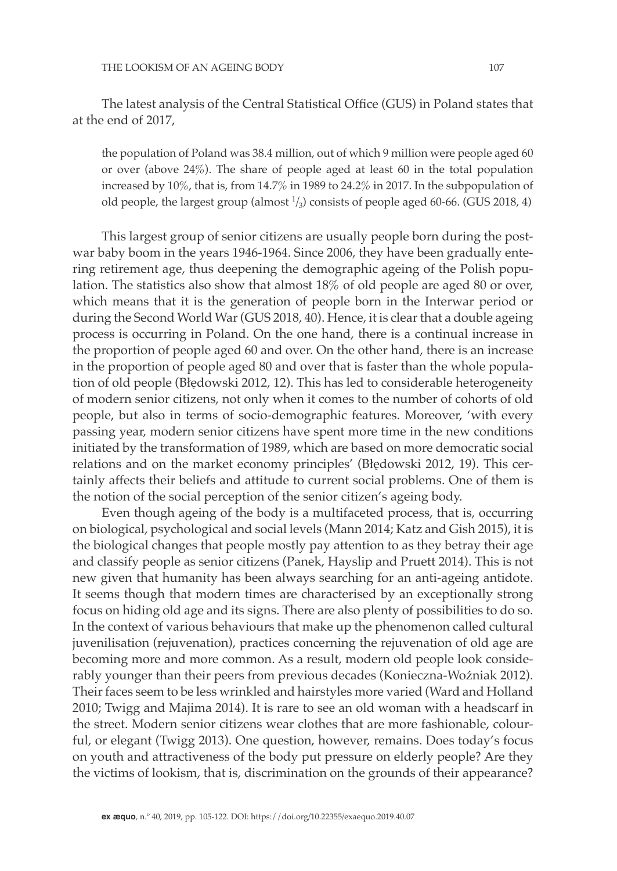The latest analysis of the Central Statistical Office (GUS) in Poland states that at the end of 2017,

the population of Poland was 38.4 million, out of which 9 million were people aged 60 or over (above 24%). The share of people aged at least 60 in the total population increased by 10%, that is, from 14.7% in 1989 to 24.2% in 2017. In the subpopulation of old people, the largest group (almost  $\frac{1}{3}$ ) consists of people aged 60-66. (GUS 2018, 4)

This largest group of senior citizens are usually people born during the postwar baby boom in the years 1946-1964. Since 2006, they have been gradually entering retirement age, thus deepening the demographic ageing of the Polish population. The statistics also show that almost 18% of old people are aged 80 or over, which means that it is the generation of people born in the Interwar period or during the Second World War (GUS 2018, 40). Hence, it is clear that a double ageing process is occurring in Poland. On the one hand, there is a continual increase in the proportion of people aged 60 and over. On the other hand, there is an increase in the proportion of people aged 80 and over that is faster than the whole population of old people (Błędowski 2012, 12). This has led to considerable heterogeneity of modern senior citizens, not only when it comes to the number of cohorts of old people, but also in terms of socio-demographic features. Moreover, 'with every passing year, modern senior citizens have spent more time in the new conditions initiated by the transformation of 1989, which are based on more democratic social relations and on the market economy principles' (Błędowski 2012, 19). This certainly affects their beliefs and attitude to current social problems. One of them is the notion of the social perception of the senior citizen's ageing body.

Even though ageing of the body is a multifaceted process, that is, occurring on biological, psychological and social levels (Mann 2014; Katz and Gish 2015), it is the biological changes that people mostly pay attention to as they betray their age and classify people as senior citizens (Panek, Hayslip and Pruett 2014). This is not new given that humanity has been always searching for an anti-ageing antidote. It seems though that modern times are characterised by an exceptionally strong focus on hiding old age and its signs. There are also plenty of possibilities to do so. In the context of various behaviours that make up the phenomenon called cultural juvenilisation (rejuvenation), practices concerning the rejuvenation of old age are becoming more and more common. As a result, modern old people look considerably younger than their peers from previous decades (Konieczna-Woźniak 2012). Their faces seem to be less wrinkled and hairstyles more varied (Ward and Holland 2010; Twigg and Majima 2014). It is rare to see an old woman with a headscarf in the street. Modern senior citizens wear clothes that are more fashionable, colourful, or elegant (Twigg 2013). One question, however, remains. Does today's focus on youth and attractiveness of the body put pressure on elderly people? Are they the victims of lookism, that is, discrimination on the grounds of their appearance?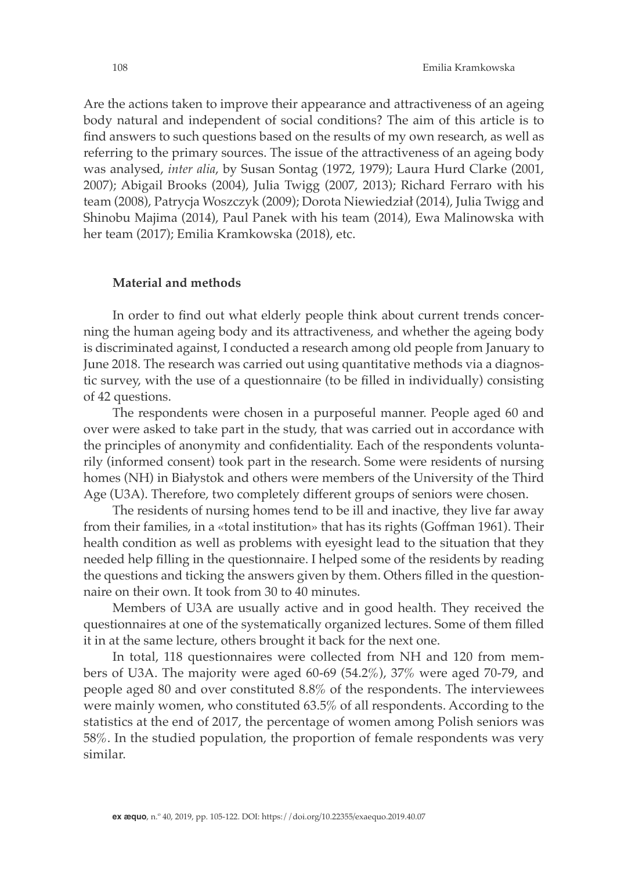Are the actions taken to improve their appearance and attractiveness of an ageing body natural and independent of social conditions? The aim of this article is to find answers to such questions based on the results of my own research, as well as referring to the primary sources. The issue of the attractiveness of an ageing body was analysed, *inter alia*, by Susan Sontag (1972, 1979); Laura Hurd Clarke (2001, 2007); Abigail Brooks (2004), Julia Twigg (2007, 2013); Richard Ferraro with his team (2008), Patrycja Woszczyk (2009); Dorota Niewiedział (2014), Julia Twigg and Shinobu Majima (2014), Paul Panek with his team (2014), Ewa Malinowska with her team (2017); Emilia Kramkowska (2018), etc.

### **Material and methods**

In order to find out what elderly people think about current trends concerning the human ageing body and its attractiveness, and whether the ageing body is discriminated against, I conducted a research among old people from January to June 2018. The research was carried out using quantitative methods via a diagnostic survey, with the use of a questionnaire (to be filled in individually) consisting of 42 questions.

The respondents were chosen in a purposeful manner. People aged 60 and over were asked to take part in the study, that was carried out in accordance with the principles of anonymity and confidentiality. Each of the respondents voluntarily (informed consent) took part in the research. Some were residents of nursing homes (NH) in Białystok and others were members of the University of the Third Age (U3A). Therefore, two completely different groups of seniors were chosen.

The residents of nursing homes tend to be ill and inactive, they live far away from their families, in a «total institution» that has its rights (Goffman 1961). Their health condition as well as problems with eyesight lead to the situation that they needed help filling in the questionnaire. I helped some of the residents by reading the questions and ticking the answers given by them. Others filled in the questionnaire on their own. It took from 30 to 40 minutes.

Members of U3A are usually active and in good health. They received the questionnaires at one of the systematically organized lectures. Some of them filled it in at the same lecture, others brought it back for the next one.

In total, 118 questionnaires were collected from NH and 120 from members of U3A. The majority were aged 60-69 (54.2%), 37% were aged 70-79, and people aged 80 and over constituted 8.8% of the respondents. The interviewees were mainly women, who constituted 63.5% of all respondents. According to the statistics at the end of 2017, the percentage of women among Polish seniors was 58%. In the studied population, the proportion of female respondents was very similar.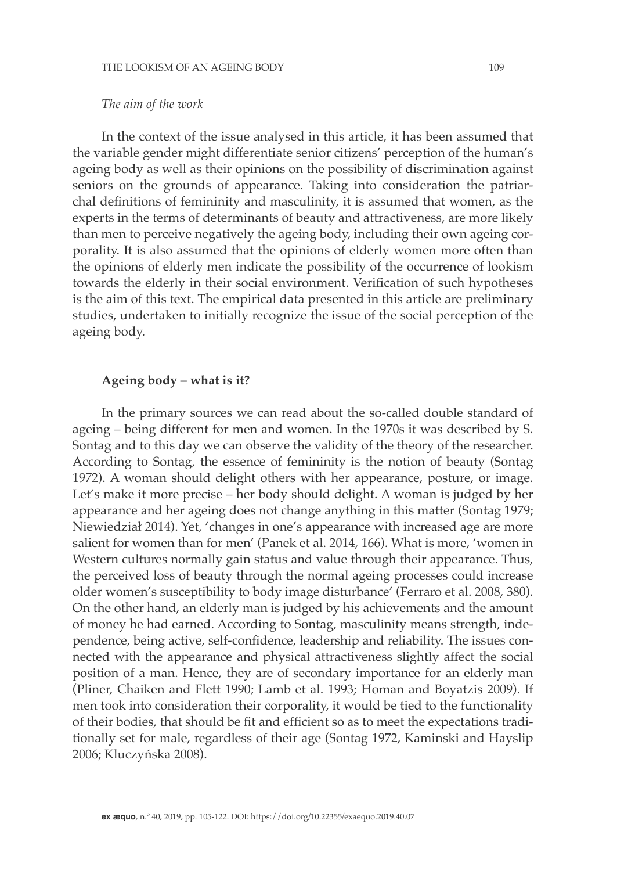### *The aim of the work*

In the context of the issue analysed in this article, it has been assumed that the variable gender might differentiate senior citizens' perception of the human's ageing body as well as their opinions on the possibility of discrimination against seniors on the grounds of appearance. Taking into consideration the patriarchal definitions of femininity and masculinity, it is assumed that women, as the experts in the terms of determinants of beauty and attractiveness, are more likely than men to perceive negatively the ageing body, including their own ageing corporality. It is also assumed that the opinions of elderly women more often than the opinions of elderly men indicate the possibility of the occurrence of lookism towards the elderly in their social environment. Verification of such hypotheses is the aim of this text. The empirical data presented in this article are preliminary studies, undertaken to initially recognize the issue of the social perception of the ageing body.

### **Ageing body – what is it?**

In the primary sources we can read about the so-called double standard of ageing – being different for men and women. In the 1970s it was described by S. Sontag and to this day we can observe the validity of the theory of the researcher. According to Sontag, the essence of femininity is the notion of beauty (Sontag 1972). A woman should delight others with her appearance, posture, or image. Let's make it more precise – her body should delight. A woman is judged by her appearance and her ageing does not change anything in this matter (Sontag 1979; Niewiedział 2014). Yet, 'changes in one's appearance with increased age are more salient for women than for men' (Panek et al. 2014, 166). What is more, 'women in Western cultures normally gain status and value through their appearance. Thus, the perceived loss of beauty through the normal ageing processes could increase older women's susceptibility to body image disturbance' (Ferraro et al. 2008, 380). On the other hand, an elderly man is judged by his achievements and the amount of money he had earned. According to Sontag, masculinity means strength, independence, being active, self-confidence, leadership and reliability. The issues connected with the appearance and physical attractiveness slightly affect the social position of a man. Hence, they are of secondary importance for an elderly man (Pliner, Chaiken and Flett 1990; Lamb et al. 1993; Homan and Boyatzis 2009). If men took into consideration their corporality, it would be tied to the functionality of their bodies, that should be fit and efficient so as to meet the expectations traditionally set for male, regardless of their age (Sontag 1972, Kaminski and Hayslip 2006; Kluczyńska 2008).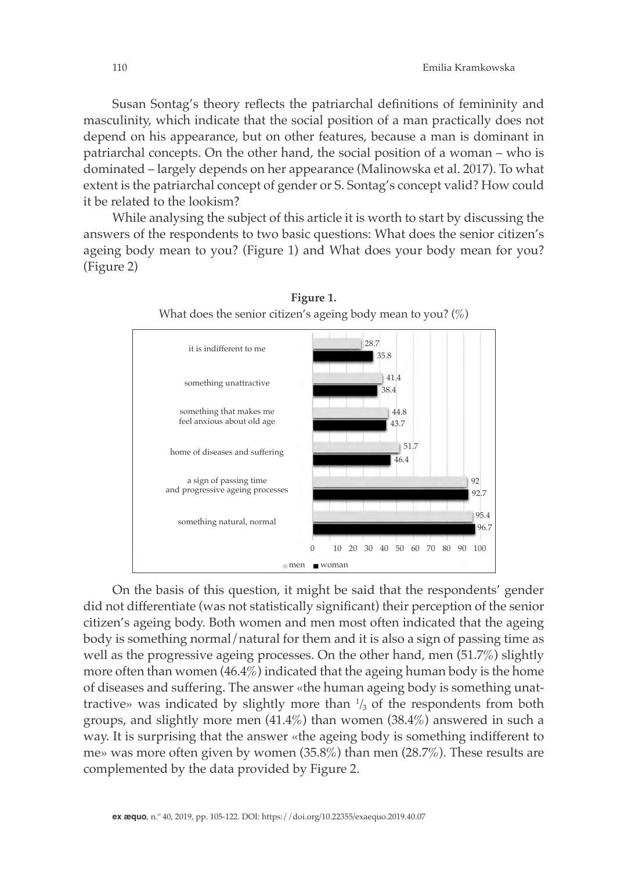Susan Sontag's theory reflects the patriarchal definitions of femininity and masculinity, which indicate that the social position of a man practically does not depend on his appearance, but on other features, because a man is dominant in patriarchal concepts. On the other hand, the social position of a woman – who is dominated – largely depends on her appearance (Malinowska et al. 2017). To what extent is the patriarchal concept of gender or S. Sontag's concept valid? How could it be related to the lookism?

While analysing the subject of this article it is worth to start by discussing the answers of the respondents to two basic questions: What does the senior citizen's ageing body mean to you? (Figure 1) and What does your body mean for you? (Figure 2)



**Figure 1.**  What does the senior citizen's ageing body mean to you?  $(\%)$ 

On the basis of this question, it might be said that the respondents' gender did not differentiate (was not statistically significant) their perception of the senior citizen's ageing body. Both women and men most often indicated that the ageing body is something normal/natural for them and it is also a sign of passing time as well as the progressive ageing processes. On the other hand, men (51.7%) slightly more often than women (46.4%) indicated that the ageing human body is the home of diseases and suffering. The answer «the human ageing body is something unattractive» was indicated by slightly more than  $\frac{1}{3}$  of the respondents from both groups, and slightly more men (41.4%) than women (38.4%) answered in such a way. It is surprising that the answer «the ageing body is something indifferent to me» was more often given by women (35.8%) than men (28.7%). These results are complemented by the data provided by Figure 2.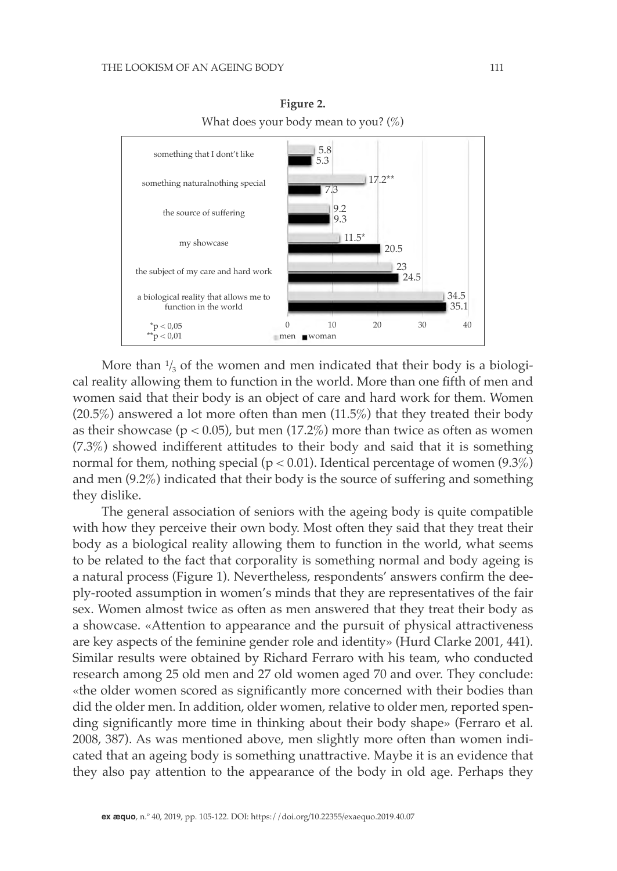

**Figure 2.**  What does your body mean to you?  $(\%)$ 

More than  $\frac{1}{3}$  of the women and men indicated that their body is a biological reality allowing them to function in the world. More than one fifth of men and women said that their body is an object of care and hard work for them. Women (20.5%) answered a lot more often than men (11.5%) that they treated their body as their showcase ( $p < 0.05$ ), but men (17.2%) more than twice as often as women (7.3%) showed indifferent attitudes to their body and said that it is something normal for them, nothing special ( $p < 0.01$ ). Identical percentage of women (9.3%) and men (9.2%) indicated that their body is the source of suffering and something they dislike.

The general association of seniors with the ageing body is quite compatible with how they perceive their own body. Most often they said that they treat their body as a biological reality allowing them to function in the world, what seems to be related to the fact that corporality is something normal and body ageing is a natural process (Figure 1). Nevertheless, respondents' answers confirm the deeply-rooted assumption in women's minds that they are representatives of the fair sex. Women almost twice as often as men answered that they treat their body as a showcase. «Attention to appearance and the pursuit of physical attractiveness are key aspects of the feminine gender role and identity» (Hurd Clarke 2001, 441). Similar results were obtained by Richard Ferraro with his team, who conducted research among 25 old men and 27 old women aged 70 and over. They conclude: «the older women scored as significantly more concerned with their bodies than did the older men. In addition, older women, relative to older men, reported spending significantly more time in thinking about their body shape» (Ferraro et al. 2008, 387). As was mentioned above, men slightly more often than women indicated that an ageing body is something unattractive. Maybe it is an evidence that they also pay attention to the appearance of the body in old age. Perhaps they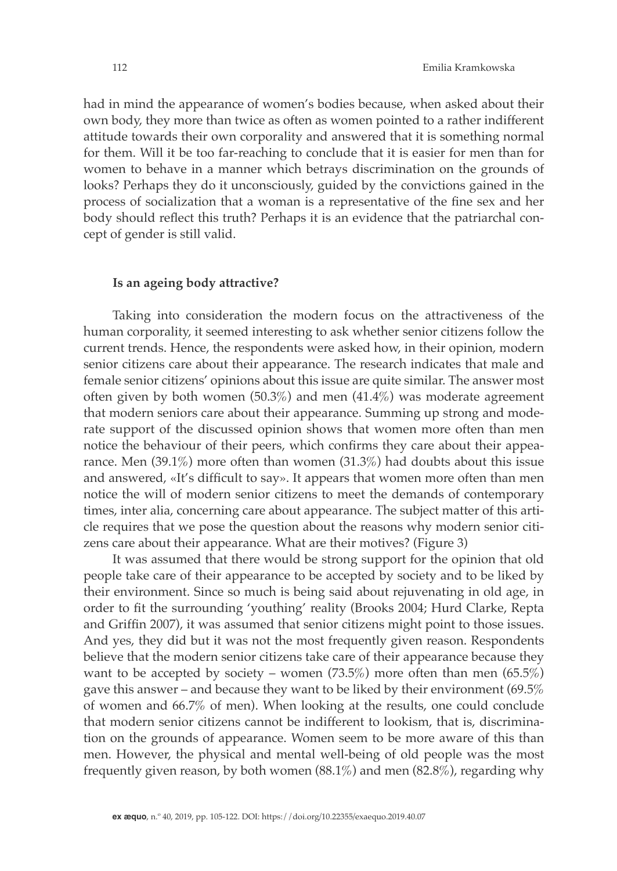had in mind the appearance of women's bodies because, when asked about their own body, they more than twice as often as women pointed to a rather indifferent attitude towards their own corporality and answered that it is something normal for them. Will it be too far-reaching to conclude that it is easier for men than for women to behave in a manner which betrays discrimination on the grounds of looks? Perhaps they do it unconsciously, guided by the convictions gained in the process of socialization that a woman is a representative of the fine sex and her body should reflect this truth? Perhaps it is an evidence that the patriarchal concept of gender is still valid.

#### **Is an ageing body attractive?**

Taking into consideration the modern focus on the attractiveness of the human corporality, it seemed interesting to ask whether senior citizens follow the current trends. Hence, the respondents were asked how, in their opinion, modern senior citizens care about their appearance. The research indicates that male and female senior citizens' opinions about this issue are quite similar. The answer most often given by both women  $(50.3\%)$  and men  $(41.4\%)$  was moderate agreement that modern seniors care about their appearance. Summing up strong and moderate support of the discussed opinion shows that women more often than men notice the behaviour of their peers, which confirms they care about their appearance. Men (39.1%) more often than women (31.3%) had doubts about this issue and answered, «It's difficult to say». It appears that women more often than men notice the will of modern senior citizens to meet the demands of contemporary times, inter alia, concerning care about appearance. The subject matter of this article requires that we pose the question about the reasons why modern senior citizens care about their appearance. What are their motives? (Figure 3)

It was assumed that there would be strong support for the opinion that old people take care of their appearance to be accepted by society and to be liked by their environment. Since so much is being said about rejuvenating in old age, in order to fit the surrounding 'youthing' reality (Brooks 2004; Hurd Clarke, Repta and Griffin 2007), it was assumed that senior citizens might point to those issues. And yes, they did but it was not the most frequently given reason. Respondents believe that the modern senior citizens take care of their appearance because they want to be accepted by society – women  $(73.5\%)$  more often than men  $(65.5\%)$ gave this answer – and because they want to be liked by their environment (69.5% of women and 66.7% of men). When looking at the results, one could conclude that modern senior citizens cannot be indifferent to lookism, that is, discrimination on the grounds of appearance. Women seem to be more aware of this than men. However, the physical and mental well-being of old people was the most frequently given reason, by both women (88.1%) and men (82.8%), regarding why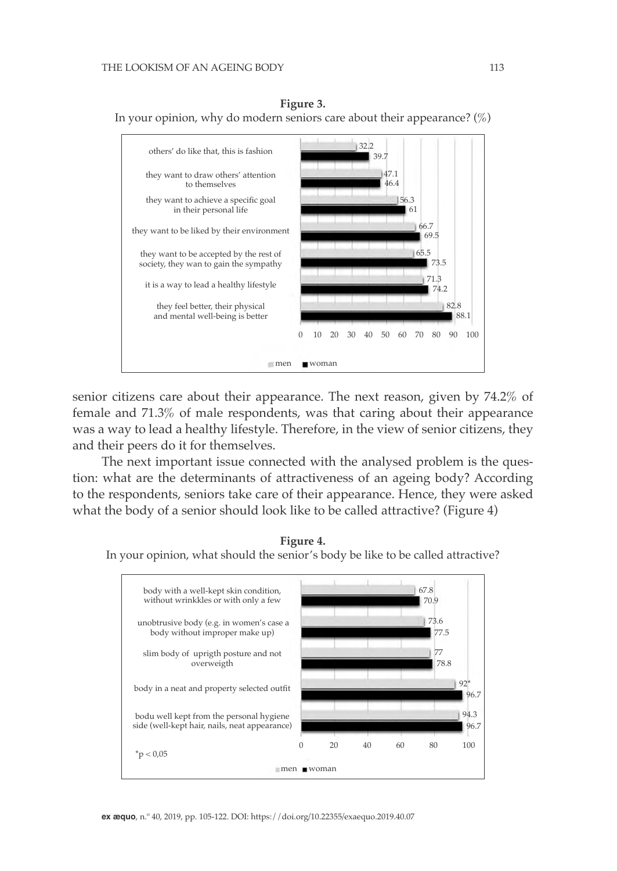



senior citizens care about their appearance. The next reason, given by 74.2% of female and 71.3% of male respondents, was that caring about their appearance was a way to lead a healthy lifestyle. Therefore, in the view of senior citizens, they and their peers do it for themselves.

The next important issue connected with the analysed problem is the question: what are the determinants of attractiveness of an ageing body? According to the respondents, seniors take care of their appearance. Hence, they were asked what the body of a senior should look like to be called attractive? (Figure 4)



**Figure 4.**

In your opinion, what should the senior's body be like to be called attractive?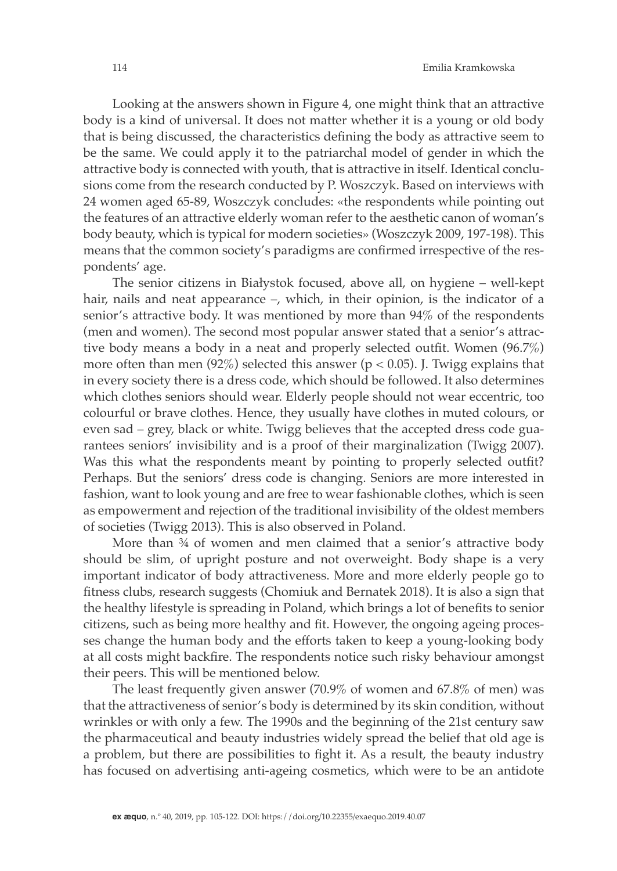Looking at the answers shown in Figure 4, one might think that an attractive body is a kind of universal. It does not matter whether it is a young or old body that is being discussed, the characteristics defining the body as attractive seem to be the same. We could apply it to the patriarchal model of gender in which the attractive body is connected with youth, that is attractive in itself. Identical conclusions come from the research conducted by P. Woszczyk. Based on interviews with 24 women aged 65-89, Woszczyk concludes: «the respondents while pointing out the features of an attractive elderly woman refer to the aesthetic canon of woman's body beauty, which is typical for modern societies» (Woszczyk 2009, 197-198). This means that the common society's paradigms are confirmed irrespective of the respondents' age.

The senior citizens in Białystok focused, above all, on hygiene – well-kept hair, nails and neat appearance –, which, in their opinion, is the indicator of a senior's attractive body. It was mentioned by more than 94% of the respondents (men and women). The second most popular answer stated that a senior's attractive body means a body in a neat and properly selected outfit. Women (96.7%) more often than men  $(92\%)$  selected this answer ( $p < 0.05$ ). J. Twigg explains that in every society there is a dress code, which should be followed. It also determines which clothes seniors should wear. Elderly people should not wear eccentric, too colourful or brave clothes. Hence, they usually have clothes in muted colours, or even sad – grey, black or white. Twigg believes that the accepted dress code guarantees seniors' invisibility and is a proof of their marginalization (Twigg 2007). Was this what the respondents meant by pointing to properly selected outfit? Perhaps. But the seniors' dress code is changing. Seniors are more interested in fashion, want to look young and are free to wear fashionable clothes, which is seen as empowerment and rejection of the traditional invisibility of the oldest members of societies (Twigg 2013). This is also observed in Poland.

More than 34 of women and men claimed that a senior's attractive body should be slim, of upright posture and not overweight. Body shape is a very important indicator of body attractiveness. More and more elderly people go to fitness clubs, research suggests (Chomiuk and Bernatek 2018). It is also a sign that the healthy lifestyle is spreading in Poland, which brings a lot of benefits to senior citizens, such as being more healthy and fit. However, the ongoing ageing processes change the human body and the efforts taken to keep a young-looking body at all costs might backfire. The respondents notice such risky behaviour amongst their peers. This will be mentioned below.

The least frequently given answer (70.9% of women and 67.8% of men) was that the attractiveness of senior's body is determined by its skin condition, without wrinkles or with only a few. The 1990s and the beginning of the 21st century saw the pharmaceutical and beauty industries widely spread the belief that old age is a problem, but there are possibilities to fight it. As a result, the beauty industry has focused on advertising anti-ageing cosmetics, which were to be an antidote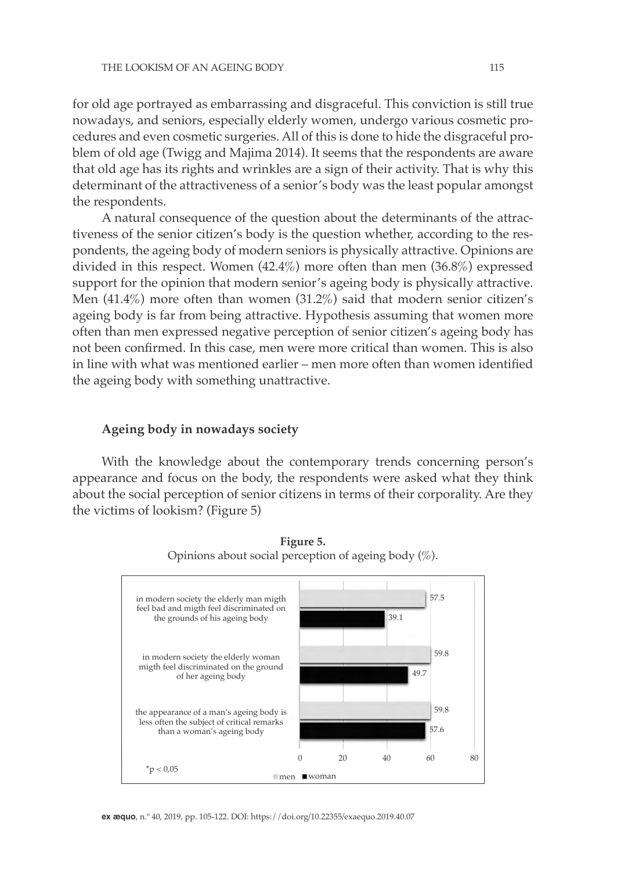for old age portrayed as embarrassing and disgraceful. This conviction is still true nowadays, and seniors, especially elderly women, undergo various cosmetic procedures and even cosmetic surgeries. All of this is done to hide the disgraceful problem of old age (Twigg and Majima 2014). It seems that the respondents are aware that old age has its rights and wrinkles are a sign of their activity. That is why this determinant of the attractiveness of a senior's body was the least popular amongst the respondents.

A natural consequence of the question about the determinants of the attractiveness of the senior citizen's body is the question whether, according to the respondents, the ageing body of modern seniors is physically attractive. Opinions are divided in this respect. Women (42.4%) more often than men (36.8%) expressed support for the opinion that modern senior's ageing body is physically attractive. Men (41.4%) more often than women (31.2%) said that modern senior citizen's ageing body is far from being attractive. Hypothesis assuming that women more often than men expressed negative perception of senior citizen's ageing body has not been confirmed. In this case, men were more critical than women. This is also in line with what was mentioned earlier – men more often than women identified the ageing body with something unattractive.

#### **Ageing body in nowadays society**

With the knowledge about the contemporary trends concerning person's appearance and focus on the body, the respondents were asked what they think about the social perception of senior citizens in terms of their corporality. Are they the victims of lookism? (Figure 5)



**Figure 5.** Opinions about social perception of ageing body  $(\%)$ .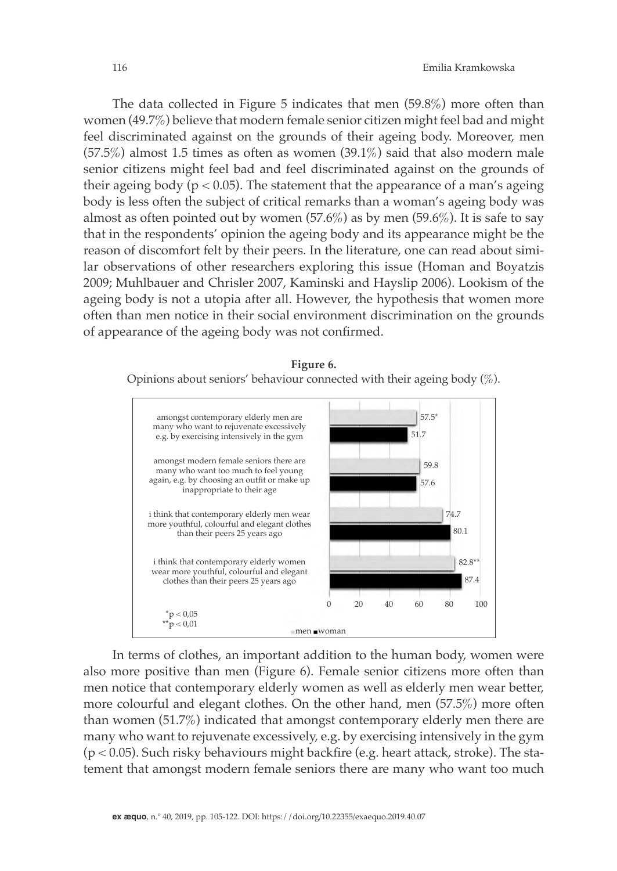The data collected in Figure 5 indicates that men (59.8%) more often than women (49.7%) believe that modern female senior citizen might feel bad and might feel discriminated against on the grounds of their ageing body. Moreover, men (57.5%) almost 1.5 times as often as women (39.1%) said that also modern male senior citizens might feel bad and feel discriminated against on the grounds of their ageing body ( $p < 0.05$ ). The statement that the appearance of a man's ageing body is less often the subject of critical remarks than a woman's ageing body was almost as often pointed out by women  $(57.6\%)$  as by men  $(59.6\%)$ . It is safe to say that in the respondents' opinion the ageing body and its appearance might be the reason of discomfort felt by their peers. In the literature, one can read about similar observations of other researchers exploring this issue (Homan and Boyatzis 2009; Muhlbauer and Chrisler 2007, Kaminski and Hayslip 2006). Lookism of the ageing body is not a utopia after all. However, the hypothesis that women more often than men notice in their social environment discrimination on the grounds of appearance of the ageing body was not confirmed.

#### **Figure 6.**

Opinions about seniors' behaviour connected with their ageing body (%).



In terms of clothes, an important addition to the human body, women were also more positive than men (Figure 6). Female senior citizens more often than men notice that contemporary elderly women as well as elderly men wear better, more colourful and elegant clothes. On the other hand, men (57.5%) more often than women (51.7%) indicated that amongst contemporary elderly men there are many who want to rejuvenate excessively, e.g. by exercising intensively in the gym (p < 0.05). Such risky behaviours might backfire (e.g. heart attack, stroke). The statement that amongst modern female seniors there are many who want too much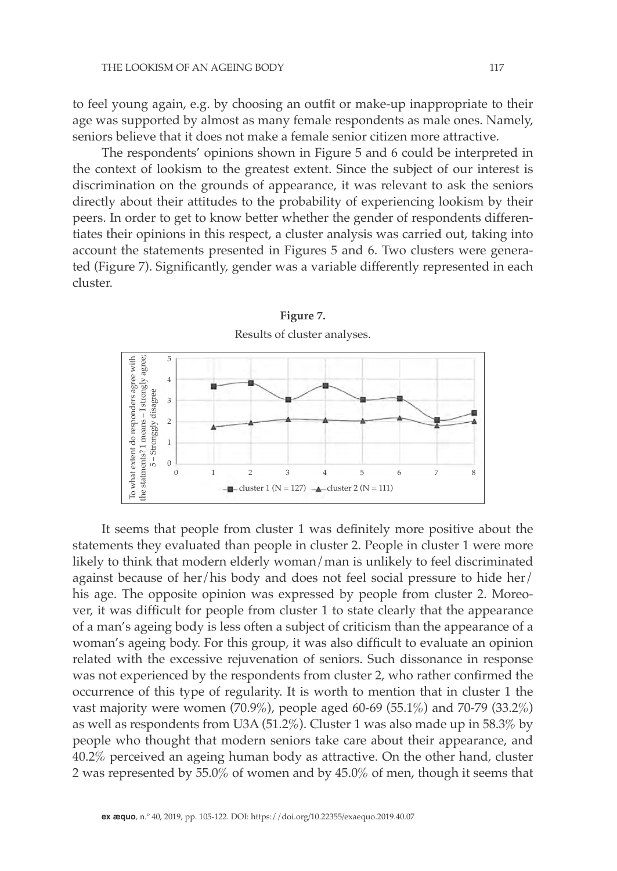to feel young again, e.g. by choosing an outfit or make-up inappropriate to their age was supported by almost as many female respondents as male ones. Namely, seniors believe that it does not make a female senior citizen more attractive.

The respondents' opinions shown in Figure 5 and 6 could be interpreted in the context of lookism to the greatest extent. Since the subject of our interest is discrimination on the grounds of appearance, it was relevant to ask the seniors directly about their attitudes to the probability of experiencing lookism by their peers. In order to get to know better whether the gender of respondents differentiates their opinions in this respect, a cluster analysis was carried out, taking into account the statements presented in Figures 5 and 6. Two clusters were generated (Figure 7). Significantly, gender was a variable differently represented in each cluster.



It seems that people from cluster 1 was definitely more positive about the statements they evaluated than people in cluster 2. People in cluster 1 were more likely to think that modern elderly woman/man is unlikely to feel discriminated against because of her/his body and does not feel social pressure to hide her/ his age. The opposite opinion was expressed by people from cluster 2. Moreover, it was difficult for people from cluster 1 to state clearly that the appearance of a man's ageing body is less often a subject of criticism than the appearance of a woman's ageing body. For this group, it was also difficult to evaluate an opinion related with the excessive rejuvenation of seniors. Such dissonance in response was not experienced by the respondents from cluster 2, who rather confirmed the occurrence of this type of regularity. It is worth to mention that in cluster 1 the vast majority were women (70.9%), people aged 60-69 (55.1%) and 70-79 (33.2%) as well as respondents from U3A (51.2%). Cluster 1 was also made up in 58.3% by people who thought that modern seniors take care about their appearance, and 40.2% perceived an ageing human body as attractive. On the other hand, cluster 2 was represented by 55.0% of women and by 45.0% of men, though it seems that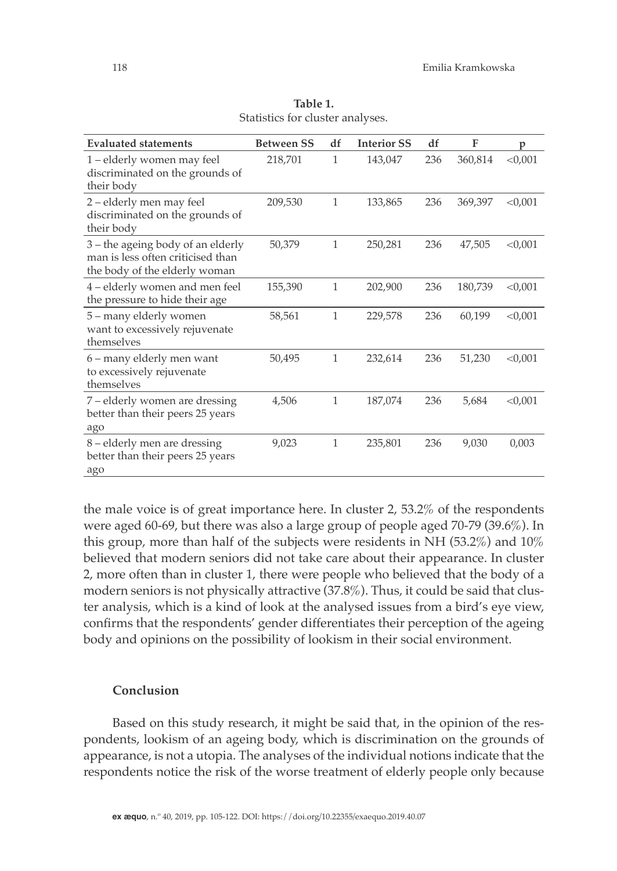| <b>Evaluated statements</b>                                                                               | <b>Between SS</b> | df           | <b>Interior SS</b> | df  | F       | p         |
|-----------------------------------------------------------------------------------------------------------|-------------------|--------------|--------------------|-----|---------|-----------|
| 1 – elderly women may feel<br>discriminated on the grounds of<br>their body                               | 218,701           | 1            | 143,047            | 236 | 360,814 | < 0,001   |
| 2 – elderly men may feel<br>discriminated on the grounds of<br>their body                                 | 209,530           | 1            | 133,865            | 236 | 369,397 | < 0,001   |
| $3$ – the ageing body of an elderly<br>man is less often criticised than<br>the body of the elderly woman | 50,379            | $\mathbf{1}$ | 250,281            | 236 | 47,505  | < 0.001   |
| 4 – elderly women and men feel<br>the pressure to hide their age                                          | 155,390           | 1            | 202,900            | 236 | 180,739 | $<$ 0,001 |
| 5 - many elderly women<br>want to excessively rejuvenate<br>themselves                                    | 58,561            | $\mathbf{1}$ | 229,578            | 236 | 60,199  | < 0,001   |
| 6 - many elderly men want<br>to excessively rejuvenate<br>themselves                                      | 50,495            | $\mathbf{1}$ | 232,614            | 236 | 51,230  | $<$ 0,001 |
| 7 – elderly women are dressing<br>better than their peers 25 years<br>ago                                 | 4,506             | 1            | 187,074            | 236 | 5,684   | < 0.001   |
| 8 – elderly men are dressing<br>better than their peers 25 years<br>ago                                   | 9,023             | 1            | 235,801            | 236 | 9,030   | 0,003     |

**Table 1.** Statistics for cluster analyses.

the male voice is of great importance here. In cluster 2, 53.2% of the respondents were aged 60-69, but there was also a large group of people aged 70-79 (39.6%). In this group, more than half of the subjects were residents in NH (53.2%) and 10% believed that modern seniors did not take care about their appearance. In cluster 2, more often than in cluster 1, there were people who believed that the body of a modern seniors is not physically attractive (37.8%). Thus, it could be said that cluster analysis, which is a kind of look at the analysed issues from a bird's eye view, confirms that the respondents' gender differentiates their perception of the ageing body and opinions on the possibility of lookism in their social environment.

## **Conclusion**

Based on this study research, it might be said that, in the opinion of the respondents, lookism of an ageing body, which is discrimination on the grounds of appearance, is not a utopia. The analyses of the individual notions indicate that the respondents notice the risk of the worse treatment of elderly people only because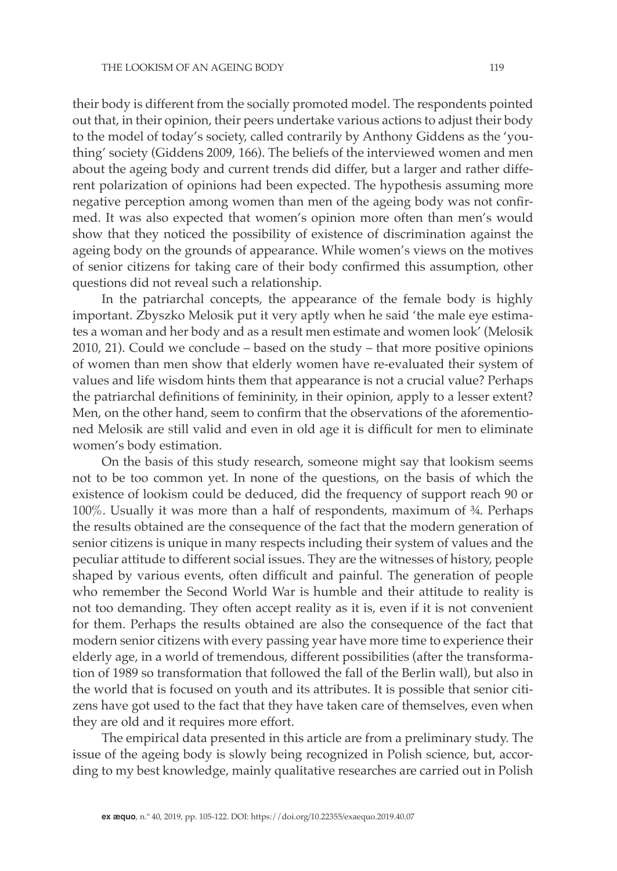their body is different from the socially promoted model. The respondents pointed out that, in their opinion, their peers undertake various actions to adjust their body to the model of today's society, called contrarily by Anthony Giddens as the 'youthing' society (Giddens 2009, 166). The beliefs of the interviewed women and men about the ageing body and current trends did differ, but a larger and rather different polarization of opinions had been expected. The hypothesis assuming more negative perception among women than men of the ageing body was not confirmed. It was also expected that women's opinion more often than men's would show that they noticed the possibility of existence of discrimination against the ageing body on the grounds of appearance. While women's views on the motives of senior citizens for taking care of their body confirmed this assumption, other questions did not reveal such a relationship.

In the patriarchal concepts, the appearance of the female body is highly important. Zbyszko Melosik put it very aptly when he said 'the male eye estimates a woman and her body and as a result men estimate and women look' (Melosik 2010, 21). Could we conclude – based on the study – that more positive opinions of women than men show that elderly women have re-evaluated their system of values and life wisdom hints them that appearance is not a crucial value? Perhaps the patriarchal definitions of femininity, in their opinion, apply to a lesser extent? Men, on the other hand, seem to confirm that the observations of the aforementioned Melosik are still valid and even in old age it is difficult for men to eliminate women's body estimation.

On the basis of this study research, someone might say that lookism seems not to be too common yet. In none of the questions, on the basis of which the existence of lookism could be deduced, did the frequency of support reach 90 or 100%. Usually it was more than a half of respondents, maximum of ¾. Perhaps the results obtained are the consequence of the fact that the modern generation of senior citizens is unique in many respects including their system of values and the peculiar attitude to different social issues. They are the witnesses of history, people shaped by various events, often difficult and painful. The generation of people who remember the Second World War is humble and their attitude to reality is not too demanding. They often accept reality as it is, even if it is not convenient for them. Perhaps the results obtained are also the consequence of the fact that modern senior citizens with every passing year have more time to experience their elderly age, in a world of tremendous, different possibilities (after the transformation of 1989 so transformation that followed the fall of the Berlin wall), but also in the world that is focused on youth and its attributes. It is possible that senior citizens have got used to the fact that they have taken care of themselves, even when they are old and it requires more effort.

The empirical data presented in this article are from a preliminary study. The issue of the ageing body is slowly being recognized in Polish science, but, according to my best knowledge, mainly qualitative researches are carried out in Polish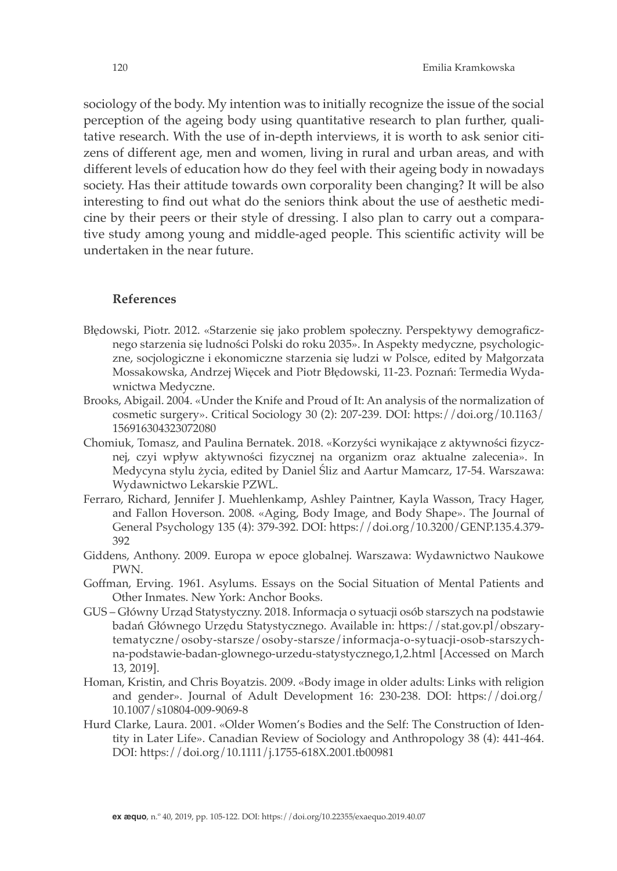sociology of the body. My intention was to initially recognize the issue of the social perception of the ageing body using quantitative research to plan further, qualitative research. With the use of in-depth interviews, it is worth to ask senior citizens of different age, men and women, living in rural and urban areas, and with different levels of education how do they feel with their ageing body in nowadays society. Has their attitude towards own corporality been changing? It will be also interesting to find out what do the seniors think about the use of aesthetic medicine by their peers or their style of dressing. I also plan to carry out a comparative study among young and middle-aged people. This scientific activity will be undertaken in the near future.

### **References**

- Błędowski, Piotr. 2012. «Starzenie się jako problem społeczny. Perspektywy demograficznego starzenia się ludności Polski do roku 2035». In Aspekty medyczne, psychologiczne, socjologiczne i ekonomiczne starzenia się ludzi w Polsce, edited by Małgorzata Mossakowska, Andrzej Więcek and Piotr Błędowski, 11-23. Poznań: Termedia Wydawnictwa Medyczne.
- Brooks, Abigail. 2004. «Under the Knife and Proud of It: An analysis of the normalization of cosmetic surgery». Critical Sociology 30 (2): 207-239. DOI: https://doi.org/10.1163/ 156916304323072080
- Chomiuk, Tomasz, and Paulina Bernatek. 2018. «Korzyści wynikające z aktywności fizycznej, czyi wpływ aktywności fizycznej na organizm oraz aktualne zalecenia». In Medycyna stylu życia, edited by Daniel Śliz and Aartur Mamcarz, 17-54. Warszawa: Wydawnictwo Lekarskie PZWL.
- Ferraro, Richard, Jennifer J. Muehlenkamp, Ashley Paintner, Kayla Wasson, Tracy Hager, and Fallon Hoverson. 2008. «Aging, Body Image, and Body Shape». The Journal of General Psychology 135 (4): 379-392. DOI: https://doi.org/10.3200/GENP.135.4.379- 392
- Giddens, Anthony. 2009. Europa w epoce globalnej. Warszawa: Wydawnictwo Naukowe PWN.
- Goffman, Erving. 1961. Asylums. Essays on the Social Situation of Mental Patients and Other Inmates. New York: Anchor Books.
- GUS Główny Urząd Statystyczny. 2018. Informacja o sytuacji osób starszych na podstawie badań Głównego Urzędu Statystycznego. Available in: https://stat.gov.pl/obszarytematyczne/osoby-starsze/osoby-starsze/informacja-o-sytuacji-osob-starszychna-podstawie-badan-glownego-urzedu-statystycznego,1,2.html [Accessed on March 13, 2019].
- Homan, Kristin, and Chris Boyatzis. 2009. «Body image in older adults: Links with religion and gender». Journal of Adult Development 16: 230-238. DOI: https://doi.org/ 10.1007/s10804-009-9069-8
- Hurd Clarke, Laura. 2001. «Older Women's Bodies and the Self: The Construction of Identity in Later Life». Canadian Review of Sociology and Anthropology 38 (4): 441-464. DOI: https://doi.org/10.1111/j.1755-618X.2001.tb00981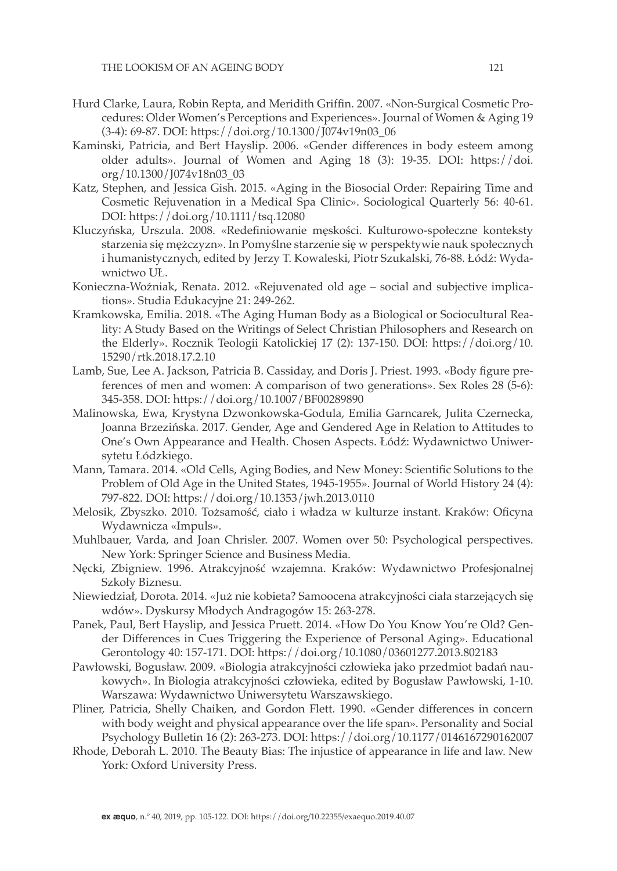- Hurd Clarke, Laura, Robin Repta, and Meridith Griffin. 2007. «Non-Surgical Cosmetic Procedures: Older Women's Perceptions and Experiences». Journal of Women & Aging 19 (3-4): 69-87. DOI: https://doi.org/10.1300/J074v19n03\_06
- Kaminski, Patricia, and Bert Hayslip. 2006. «Gender differences in body esteem among older adults». Journal of Women and Aging 18 (3): 19-35. DOI: https://doi. org/10.1300/J074v18n03\_03
- Katz, Stephen, and Jessica Gish. 2015. «Aging in the Biosocial Order: Repairing Time and Cosmetic Rejuvenation in a Medical Spa Clinic». Sociological Quarterly 56: 40-61. DOI: https://doi.org/10.1111/tsq.12080
- Kluczyńska, Urszula. 2008. «Redefiniowanie męskości. Kulturowo-społeczne konteksty starzenia się mężczyzn». In Pomyślne starzenie się w perspektywie nauk społecznych i humanistycznych, edited by Jerzy T. Kowaleski, Piotr Szukalski, 76-88. Łódź: Wydawnictwo UŁ.
- Konieczna-Woźniak, Renata. 2012. «Rejuvenated old age social and subjective implications». Studia Edukacyjne 21: 249-262.
- Kramkowska, Emilia. 2018. «The Aging Human Body as a Biological or Sociocultural Reality: A Study Based on the Writings of Select Christian Philosophers and Research on the Elderly». Rocznik Teologii Katolickiej 17 (2): 137-150. DOI: https://doi.org/10. 15290/rtk.2018.17.2.10
- Lamb, Sue, Lee A. Jackson, Patricia B. Cassiday, and Doris J. Priest. 1993. «Body figure preferences of men and women: A comparison of two generations». Sex Roles 28 (5-6): 345-358. DOI: https://doi.org/10.1007/BF00289890
- Malinowska, Ewa, Krystyna Dzwonkowska-Godula, Emilia Garncarek, Julita Czernecka, Joanna Brzezińska. 2017. Gender, Age and Gendered Age in Relation to Attitudes to One's Own Appearance and Health. Chosen Aspects. Łódź: Wydawnictwo Uniwersytetu Łódzkiego.
- Mann, Tamara. 2014. «Old Cells, Aging Bodies, and New Money: Scientific Solutions to the Problem of Old Age in the United States, 1945-1955». Journal of World History 24 (4): 797-822. DOI: https://doi.org/10.1353/jwh.2013.0110
- Melosik, Zbyszko. 2010. Tożsamość, ciało i władza w kulturze instant. Kraków: Oficyna Wydawnicza «Impuls».
- Muhlbauer, Varda, and Joan Chrisler. 2007. Women over 50: Psychological perspectives. New York: Springer Science and Business Media.
- Nęcki, Zbigniew. 1996. Atrakcyjność wzajemna. Kraków: Wydawnictwo Profesjonalnej Szkoły Biznesu.
- Niewiedział, Dorota. 2014. «Już nie kobieta? Samoocena atrakcyjności ciała starzejących się wdów». Dyskursy Młodych Andragogów 15: 263-278.
- Panek, Paul, Bert Hayslip, and Jessica Pruett. 2014. «How Do You Know You're Old? Gender Differences in Cues Triggering the Experience of Personal Aging». Educational Gerontology 40: 157-171. DOI: https://doi.org/10.1080/03601277.2013.802183
- Pawłowski, Bogusław. 2009. «Biologia atrakcyjności człowieka jako przedmiot badań naukowych». In Biologia atrakcyjności człowieka, edited by Bogusław Pawłowski, 1-10. Warszawa: Wydawnictwo Uniwersytetu Warszawskiego.
- Pliner, Patricia, Shelly Chaiken, and Gordon Flett. 1990. «Gender differences in concern with body weight and physical appearance over the life span». Personality and Social Psychology Bulletin 16 (2): 263-273. DOI: https://doi.org/10.1177/0146167290162007
- Rhode, Deborah L. 2010. The Beauty Bias: The injustice of appearance in life and law. New York: Oxford University Press.